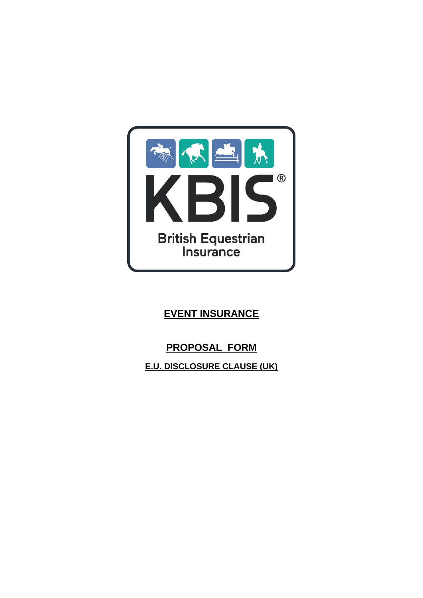

# **EVENT INSURANCE**

# **PROPOSAL FORM**

**E.U. DISCLOSURE CLAUSE (UK)**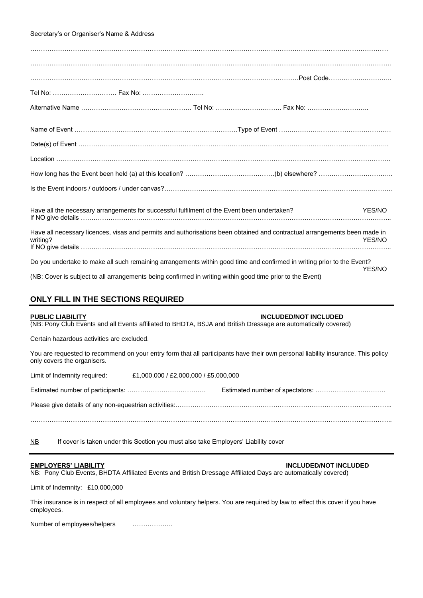## Secretary's or Organiser's Name & Address

| Tel No:  Fax No:                                                                                                                      |        |
|---------------------------------------------------------------------------------------------------------------------------------------|--------|
|                                                                                                                                       |        |
|                                                                                                                                       |        |
|                                                                                                                                       |        |
|                                                                                                                                       |        |
|                                                                                                                                       |        |
|                                                                                                                                       |        |
|                                                                                                                                       |        |
| Have all the necessary arrangements for successful fulfilment of the Event been undertaken?                                           | YES/NO |
| Have all necessary licences, visas and permits and authorisations been obtained and contractual arrangements been made in<br>writing? | YES/NO |
| Do you undertake to make all such remaining arrangements within good time and confirmed in writing prior to the Event?                |        |
| (NB: Cover is subject to all arrangements being confirmed in writing within good time prior to the Event)                             | YES/NO |

# **ONLY FILL IN THE SECTIONS REQUIRED**

### **PUBLIC LIABILITY INCLUDED/NOT INCLUDED**

(NB: Pony Club Events and all Events affiliated to BHDTA, BSJA and British Dressage are automatically covered)

Certain hazardous activities are excluded.

You are requested to recommend on your entry form that all participants have their own personal liability insurance. This policy only covers the organisers.

Limit of Indemnity required: £1,000,000 / £2,000,000 / £5,000,000

Estimated number of participants: ………………………………. Estimated number of spectators: …………………………… Please give details of any non-equestrian activities:………………………………………………………………………………………... ……………………………………………………………………………………………………………………………………………………..

NB If cover is taken under this Section you must also take Employers' Liability cover

### **EMPLOYERS' LIABILITY INCLUDED/NOT INCLUDED**

NB: Pony Club Events, BHDTA Affiliated Events and British Dressage Affiliated Days are automatically covered)

Limit of Indemnity: £10,000,000

This insurance is in respect of all employees and voluntary helpers. You are required by law to effect this cover if you have employees.

Number of employees/helpers ……………….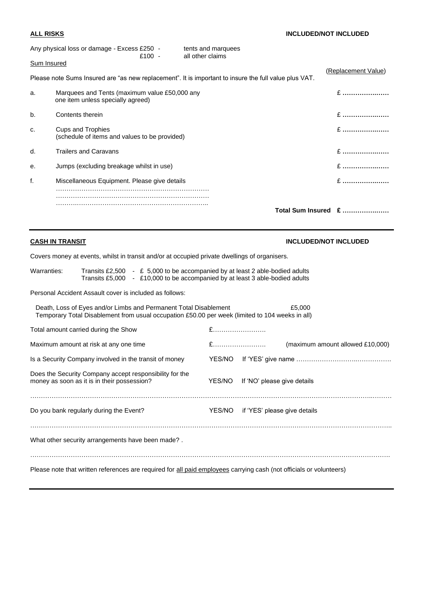|                    |                                                                                                       | Total Sum Insured £ |
|--------------------|-------------------------------------------------------------------------------------------------------|---------------------|
| f.                 | Miscellaneous Equipment. Please give details                                                          | $E$                 |
| е.                 | Jumps (excluding breakage whilst in use)                                                              | $E$                 |
| d.                 | <b>Trailers and Caravans</b>                                                                          | $E$                 |
| c.                 | <b>Cups and Trophies</b><br>(schedule of items and values to be provided)                             | $E$                 |
| b.                 | Contents therein                                                                                      | $E$                 |
| a.                 | Marquees and Tents (maximum value £50,000 any<br>one item unless specially agreed)                    | $E$                 |
|                    | Please note Sums Insured are "as new replacement". It is important to insure the full value plus VAT. | (Replacement Value) |
| <b>Sum Insured</b> |                                                                                                       |                     |
|                    | Any physical loss or damage - Excess £250 -<br>tents and marquees<br>all other claims<br>£100 -       |                     |

# **CASH IN TRANSIT CASH IN TRANSIT CASH IN TRANSIT**

Covers money at events, whilst in transit and/or at occupied private dwellings of organisers.

| Warranties:                                                                                                                                                                   | Transits £2,500 - £ 5,000 to be accompanied by at least 2 able-bodied adults<br>Transits £5,000 - £10,000 to be accompanied by at least 3 able-bodied adults |                                                         |        |                                     |                                  |
|-------------------------------------------------------------------------------------------------------------------------------------------------------------------------------|--------------------------------------------------------------------------------------------------------------------------------------------------------------|---------------------------------------------------------|--------|-------------------------------------|----------------------------------|
|                                                                                                                                                                               |                                                                                                                                                              | Personal Accident Assault cover is included as follows: |        |                                     |                                  |
| Death, Loss of Eyes and/or Limbs and Permanent Total Disablement<br>£5,000<br>Temporary Total Disablement from usual occupation £50.00 per week (limited to 104 weeks in all) |                                                                                                                                                              |                                                         |        |                                     |                                  |
|                                                                                                                                                                               | Total amount carried during the Show                                                                                                                         |                                                         | £      |                                     |                                  |
|                                                                                                                                                                               | Maximum amount at risk at any one time                                                                                                                       |                                                         |        |                                     | (maximum amount allowed £10,000) |
|                                                                                                                                                                               |                                                                                                                                                              | Is a Security Company involved in the transit of money  | YES/NO |                                     |                                  |
|                                                                                                                                                                               | money as soon as it is in their possession?                                                                                                                  | Does the Security Company accept responsibility for the | YES/NO | If 'NO' please give details         |                                  |
|                                                                                                                                                                               | Do you bank regularly during the Event?                                                                                                                      |                                                         |        | YES/NO if 'YES' please give details |                                  |
|                                                                                                                                                                               | What other security arrangements have been made?.                                                                                                            |                                                         |        |                                     |                                  |
| Please note that written references are required for all paid employees carrying cash (not officials or volunteers)                                                           |                                                                                                                                                              |                                                         |        |                                     |                                  |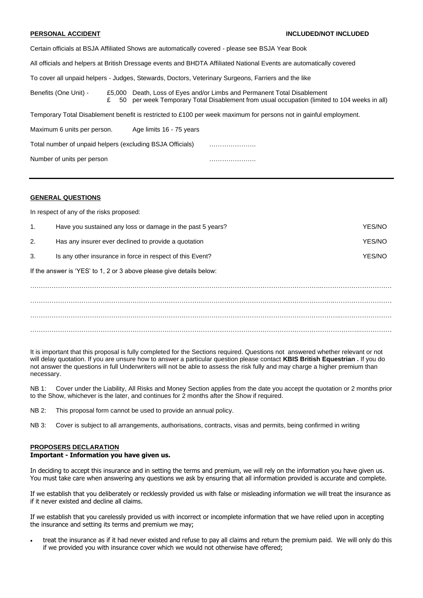Certain officials at BSJA Affiliated Shows are automatically covered - please see BSJA Year Book All officials and helpers at British Dressage events and BHDTA Affiliated National Events are automatically covered To cover all unpaid helpers - Judges, Stewards, Doctors, Veterinary Surgeons, Farriers and the like Benefits (One Unit) - £5,000 Death, Loss of Eyes and/or Limbs and Permanent Total Disablement £ 50 per week Temporary Total Disablement from usual occupation (limited to 104 weeks in all) Temporary Total Disablement benefit is restricted to £100 per week maximum for persons not in gainful employment. Maximum 6 units per person. Age limits 16 - 75 years Total number of unpaid helpers (excluding BSJA Officials) ………………….

Number of units per person measured with the contract of the contract of the contract of the contract of the contract of the contract of the contract of the contract of the contract of the contract of the contract of the c

### **GENERAL QUESTIONS**

In respect of any of the risks proposed:

| $\mathbf{1}$ .                                                       | Have you sustained any loss or damage in the past 5 years? | YFS/NO |  |  |
|----------------------------------------------------------------------|------------------------------------------------------------|--------|--|--|
| 2.                                                                   | Has any insurer ever declined to provide a quotation       | YES/NO |  |  |
| 3.                                                                   | Is any other insurance in force in respect of this Event?  | YES/NO |  |  |
| If the answer is 'YES' to 1, 2 or 3 above please give details below: |                                                            |        |  |  |
|                                                                      |                                                            |        |  |  |
|                                                                      |                                                            |        |  |  |
|                                                                      |                                                            |        |  |  |
|                                                                      |                                                            |        |  |  |

………………………………………………………………………………………………………………………………………..……………

It is important that this proposal is fully completed for the Sections required. Questions not answered whether relevant or not will delay quotation. If you are unsure how to answer a particular question please contact **KBIS British Equestrian .** If you do not answer the questions in full Underwriters will not be able to assess the risk fully and may charge a higher premium than necessary.

NB 1: Cover under the Liability, All Risks and Money Section applies from the date you accept the quotation or 2 months prior to the Show, whichever is the later, and continues for 2 months after the Show if required.

NB 2: This proposal form cannot be used to provide an annual policy.

NB 3: Cover is subject to all arrangements, authorisations, contracts, visas and permits, being confirmed in writing

### **PROPOSERS DECLARATION**

## **Important - Information you have given us.**

In deciding to accept this insurance and in setting the terms and premium, we will rely on the information you have given us. You must take care when answering any questions we ask by ensuring that all information provided is accurate and complete.

If we establish that you deliberately or recklessly provided us with false or misleading information we will treat the insurance as if it never existed and decline all claims.

If we establish that you carelessly provided us with incorrect or incomplete information that we have relied upon in accepting the insurance and setting its terms and premium we may;

• treat the insurance as if it had never existed and refuse to pay all claims and return the premium paid. We will only do this if we provided you with insurance cover which we would not otherwise have offered;